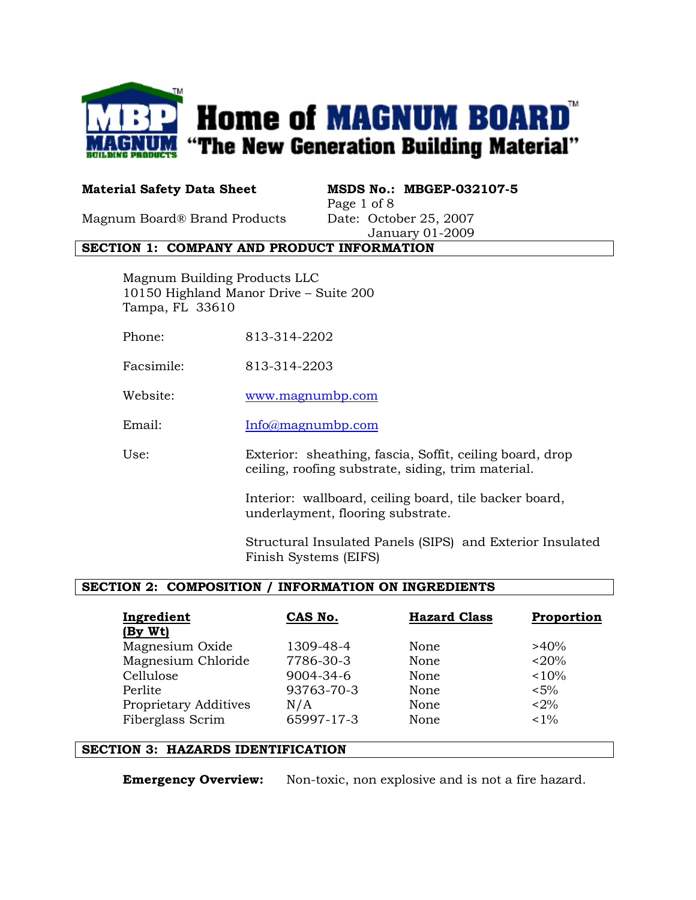

Material Safety Data Sheet MSDS No.: MBGEP-032107-5 Page 1 of 8

Magnum Board® Brand Products Date: October 25, 2007

January 01-2009

#### SECTION 1: COMPANY AND PRODUCT INFORMATION

Magnum Building Products LLC 10150 Highland Manor Drive – Suite 200 Tampa, FL 33610

- Phone: 813-314-2202
- Facsimile: 813-314-2203
- Website: www.magnumbp.com
- Email: Info@magnumbp.com

Use: Exterior: sheathing, fascia, Soffit, ceiling board, drop ceiling, roofing substrate, siding, trim material.

> Interior: wallboard, ceiling board, tile backer board, underlayment, flooring substrate.

Structural Insulated Panels (SIPS) and Exterior Insulated Finish Systems (EIFS)

## SECTION 2: COMPOSITION / INFORMATION ON INGREDIENTS

| Ingredient<br>(By Wt)        | CAS No.    | <b>Hazard Class</b> | Proportion |
|------------------------------|------------|---------------------|------------|
| Magnesium Oxide              | 1309-48-4  | None                | $>40\%$    |
| Magnesium Chloride           | 7786-30-3  | None                | $< 20\%$   |
| Cellulose                    | 9004-34-6  | None                | < 10%      |
| Perlite                      | 93763-70-3 | None                | $< 5\%$    |
| <b>Proprietary Additives</b> | N/A        | None                | $< 2\%$    |
| Fiberglass Scrim             | 65997-17-3 | None                | $< 1\%$    |

#### SECTION 3: HAZARDS IDENTIFICATION

**Emergency Overview:** Non-toxic, non explosive and is not a fire hazard.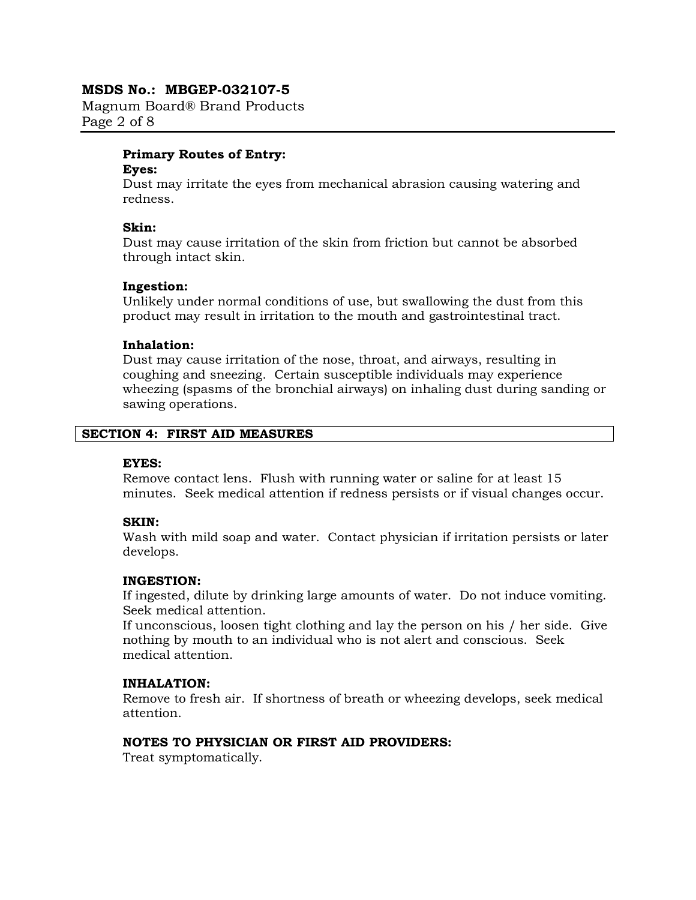Magnum Board® Brand Products Page 2 of 8

#### Primary Routes of Entry:

#### Eyes:

Dust may irritate the eyes from mechanical abrasion causing watering and redness.

#### Skin:

Dust may cause irritation of the skin from friction but cannot be absorbed through intact skin.

#### Ingestion:

Unlikely under normal conditions of use, but swallowing the dust from this product may result in irritation to the mouth and gastrointestinal tract.

## Inhalation:

Dust may cause irritation of the nose, throat, and airways, resulting in coughing and sneezing. Certain susceptible individuals may experience wheezing (spasms of the bronchial airways) on inhaling dust during sanding or sawing operations.

## SECTION 4: FIRST AID MEASURES

#### EYES:

Remove contact lens. Flush with running water or saline for at least 15 minutes. Seek medical attention if redness persists or if visual changes occur.

## SKIN:

Wash with mild soap and water. Contact physician if irritation persists or later develops.

#### INGESTION:

If ingested, dilute by drinking large amounts of water. Do not induce vomiting. Seek medical attention.

If unconscious, loosen tight clothing and lay the person on his / her side. Give nothing by mouth to an individual who is not alert and conscious. Seek medical attention.

## INHALATION:

Remove to fresh air. If shortness of breath or wheezing develops, seek medical attention.

## NOTES TO PHYSICIAN OR FIRST AID PROVIDERS:

Treat symptomatically.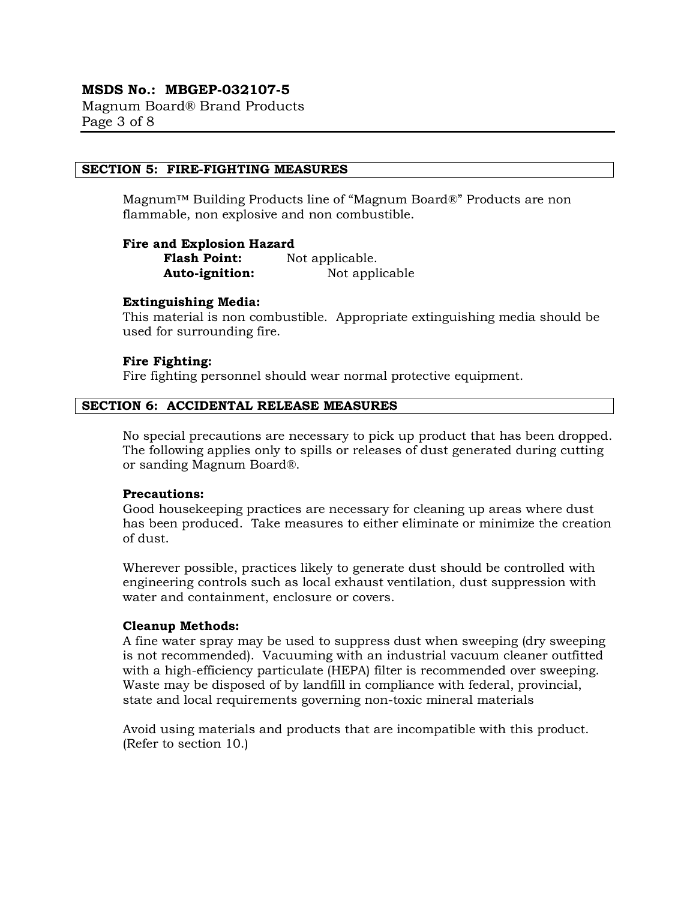Magnum Board® Brand Products Page 3 of 8

#### SECTION 5: FIRE-FIGHTING MEASURES

Magnum™ Building Products line of "Magnum Board®" Products are non flammable, non explosive and non combustible.

#### Fire and Explosion Hazard

Flash Point: Not applicable. Auto-ignition: Not applicable

#### Extinguishing Media:

This material is non combustible. Appropriate extinguishing media should be used for surrounding fire.

#### Fire Fighting:

Fire fighting personnel should wear normal protective equipment.

#### SECTION 6: ACCIDENTAL RELEASE MEASURES

No special precautions are necessary to pick up product that has been dropped. The following applies only to spills or releases of dust generated during cutting or sanding Magnum Board®.

#### Precautions:

Good housekeeping practices are necessary for cleaning up areas where dust has been produced. Take measures to either eliminate or minimize the creation of dust.

Wherever possible, practices likely to generate dust should be controlled with engineering controls such as local exhaust ventilation, dust suppression with water and containment, enclosure or covers.

#### Cleanup Methods:

A fine water spray may be used to suppress dust when sweeping (dry sweeping is not recommended). Vacuuming with an industrial vacuum cleaner outfitted with a high-efficiency particulate (HEPA) filter is recommended over sweeping. Waste may be disposed of by landfill in compliance with federal, provincial, state and local requirements governing non-toxic mineral materials

Avoid using materials and products that are incompatible with this product. (Refer to section 10.)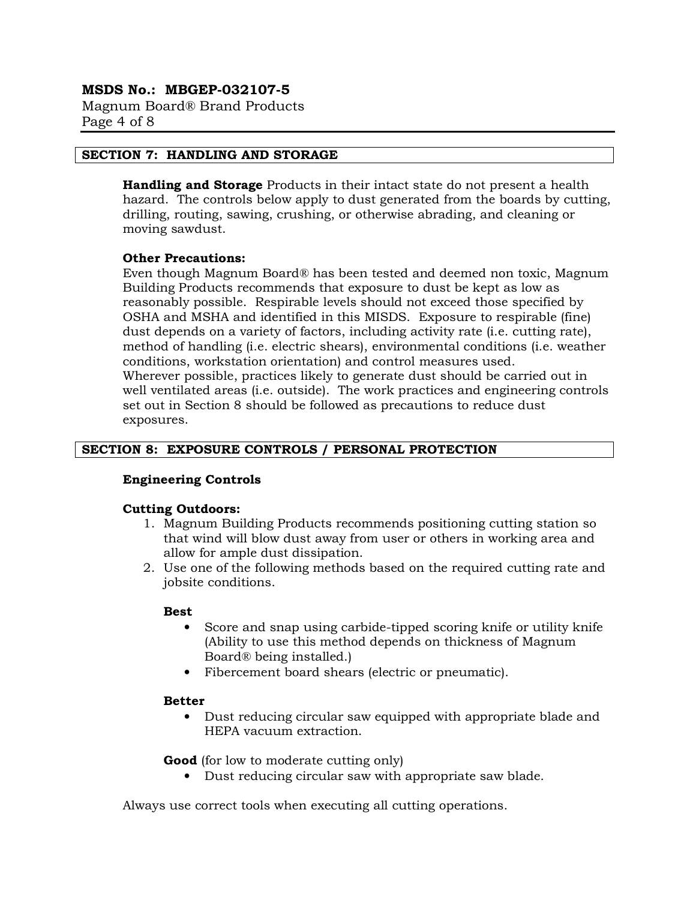Magnum Board® Brand Products Page 4 of 8

#### SECTION 7: HANDLING AND STORAGE

**Handling and Storage** Products in their intact state do not present a health hazard. The controls below apply to dust generated from the boards by cutting, drilling, routing, sawing, crushing, or otherwise abrading, and cleaning or moving sawdust.

#### Other Precautions:

Even though Magnum Board® has been tested and deemed non toxic, Magnum Building Products recommends that exposure to dust be kept as low as reasonably possible. Respirable levels should not exceed those specified by OSHA and MSHA and identified in this MISDS. Exposure to respirable (fine) dust depends on a variety of factors, including activity rate (i.e. cutting rate), method of handling (i.e. electric shears), environmental conditions (i.e. weather conditions, workstation orientation) and control measures used. Wherever possible, practices likely to generate dust should be carried out in well ventilated areas (i.e. outside). The work practices and engineering controls set out in Section 8 should be followed as precautions to reduce dust exposures.

#### SECTION 8: EXPOSURE CONTROLS / PERSONAL PROTECTION

#### Engineering Controls

#### Cutting Outdoors:

- 1. Magnum Building Products recommends positioning cutting station so that wind will blow dust away from user or others in working area and allow for ample dust dissipation.
- 2. Use one of the following methods based on the required cutting rate and jobsite conditions.

#### Best

- Score and snap using carbide-tipped scoring knife or utility knife (Ability to use this method depends on thickness of Magnum Board® being installed.)
- Fibercement board shears (electric or pneumatic).

#### Better

• Dust reducing circular saw equipped with appropriate blade and HEPA vacuum extraction.

Good (for low to moderate cutting only)

• Dust reducing circular saw with appropriate saw blade.

Always use correct tools when executing all cutting operations.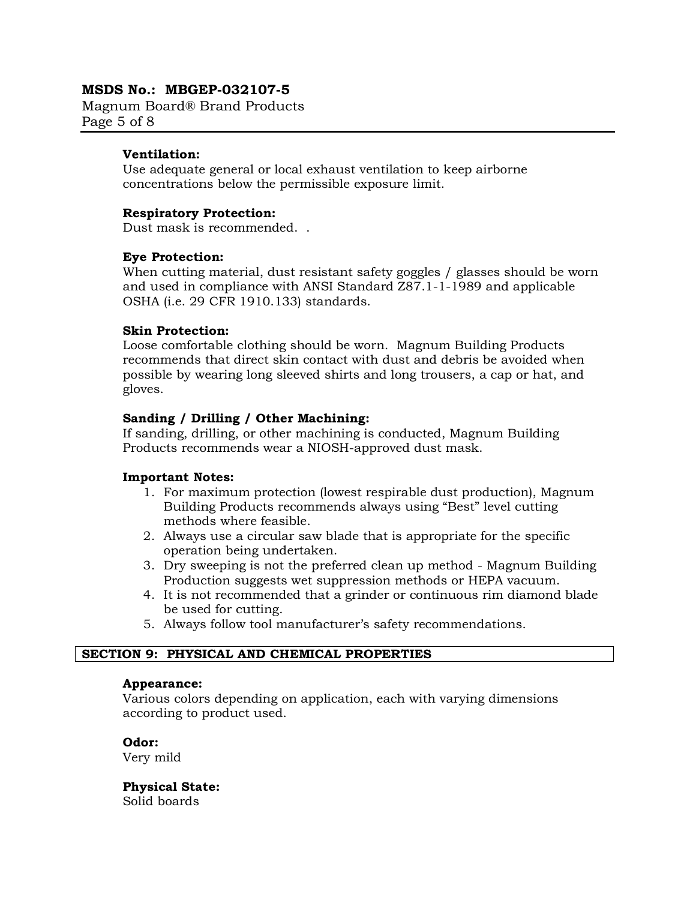Magnum Board® Brand Products Page 5 of 8

## Ventilation:

Use adequate general or local exhaust ventilation to keep airborne concentrations below the permissible exposure limit.

## Respiratory Protection:

Dust mask is recommended. .

#### Eye Protection:

When cutting material, dust resistant safety goggles / glasses should be worn and used in compliance with ANSI Standard Z87.1-1-1989 and applicable OSHA (i.e. 29 CFR 1910.133) standards.

## Skin Protection:

Loose comfortable clothing should be worn. Magnum Building Products recommends that direct skin contact with dust and debris be avoided when possible by wearing long sleeved shirts and long trousers, a cap or hat, and gloves.

## Sanding / Drilling / Other Machining:

If sanding, drilling, or other machining is conducted, Magnum Building Products recommends wear a NIOSH-approved dust mask.

#### Important Notes:

- 1. For maximum protection (lowest respirable dust production), Magnum Building Products recommends always using "Best" level cutting methods where feasible.
- 2. Always use a circular saw blade that is appropriate for the specific operation being undertaken.
- 3. Dry sweeping is not the preferred clean up method Magnum Building Production suggests wet suppression methods or HEPA vacuum.
- 4. It is not recommended that a grinder or continuous rim diamond blade be used for cutting.
- 5. Always follow tool manufacturer's safety recommendations.

## SECTION 9: PHYSICAL AND CHEMICAL PROPERTIES

#### Appearance:

Various colors depending on application, each with varying dimensions according to product used.

Odor: Very mild

Physical State: Solid boards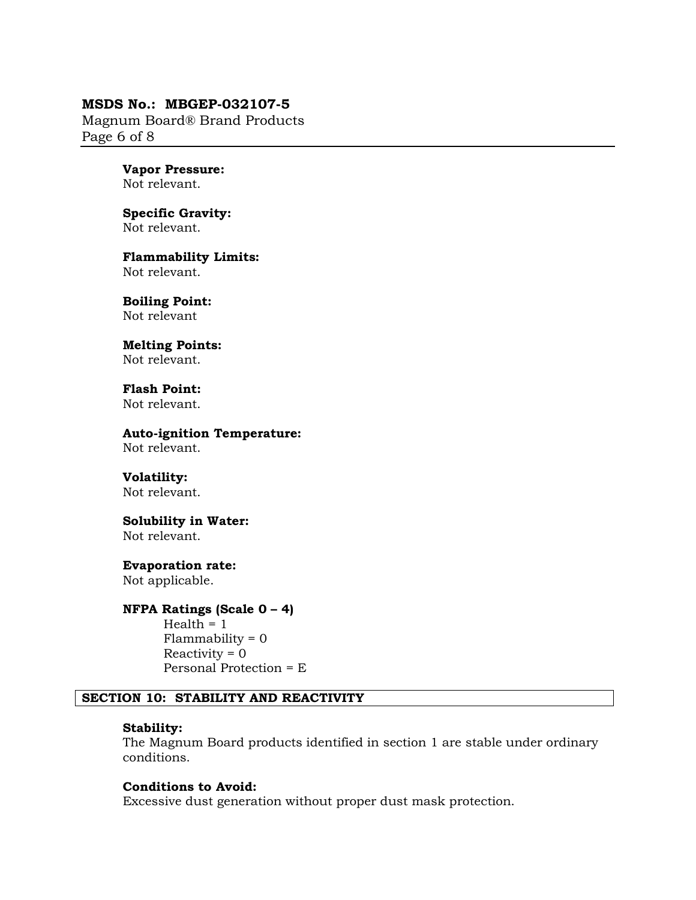Magnum Board® Brand Products Page 6 of 8

# Vapor Pressure:

Not relevant.

#### Specific Gravity: Not relevant.

Flammability Limits: Not relevant.

Boiling Point: Not relevant

Melting Points: Not relevant.

Flash Point: Not relevant.

#### Auto-ignition Temperature: Not relevant.

Volatility:

Not relevant.

## Solubility in Water:

Not relevant.

## Evaporation rate:

Not applicable.

#### NFPA Ratings (Scale 0 – 4)

 $Health = 1$  $Flammablity = 0$  $Reactivity = 0$ Personal Protection = E

#### SECTION 10: STABILITY AND REACTIVITY

#### Stability:

The Magnum Board products identified in section 1 are stable under ordinary conditions.

#### Conditions to Avoid:

Excessive dust generation without proper dust mask protection.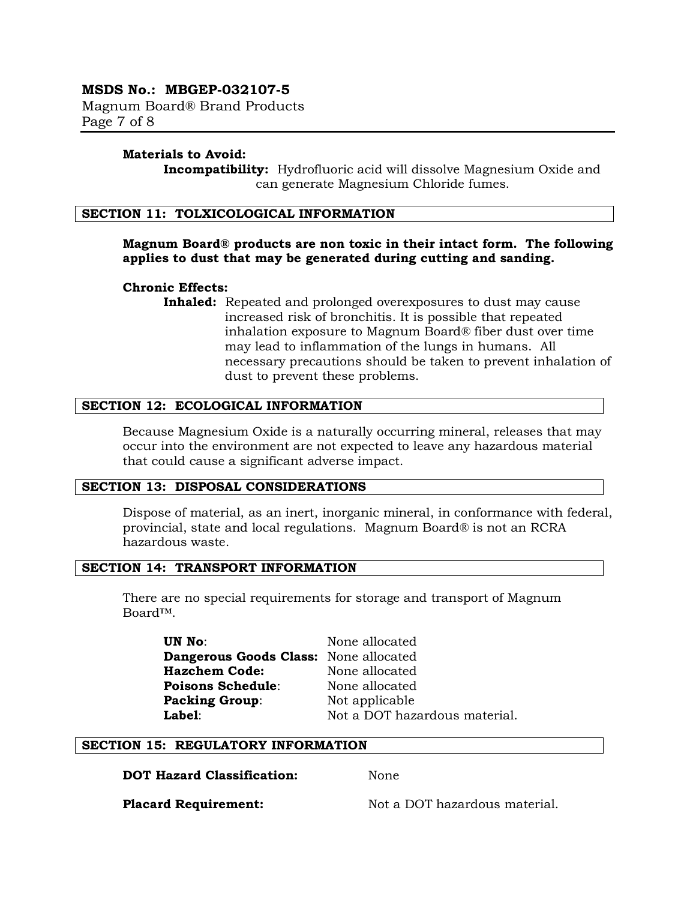Magnum Board® Brand Products Page 7 of 8

#### Materials to Avoid:

Incompatibility: Hydrofluoric acid will dissolve Magnesium Oxide and can generate Magnesium Chloride fumes.

#### SECTION 11: TOLXICOLOGICAL INFORMATION

## Magnum Board® products are non toxic in their intact form. The following applies to dust that may be generated during cutting and sanding.

#### Chronic Effects:

Inhaled: Repeated and prolonged overexposures to dust may cause increased risk of bronchitis. It is possible that repeated inhalation exposure to Magnum Board® fiber dust over time may lead to inflammation of the lungs in humans. All necessary precautions should be taken to prevent inhalation of dust to prevent these problems.

#### SECTION 12: ECOLOGICAL INFORMATION

Because Magnesium Oxide is a naturally occurring mineral, releases that may occur into the environment are not expected to leave any hazardous material that could cause a significant adverse impact.

#### SECTION 13: DISPOSAL CONSIDERATIONS

Dispose of material, as an inert, inorganic mineral, in conformance with federal, provincial, state and local regulations. Magnum Board® is not an RCRA hazardous waste.

#### SECTION 14: TRANSPORT INFORMATION

There are no special requirements for storage and transport of Magnum Board™.

UN No: None allocated Dangerous Goods Class: None allocated Hazchem Code: None allocated Poisons Schedule: None allocated Packing Group: Not applicable

Label: Not a DOT hazardous material.

## SECTION 15: REGULATORY INFORMATION

DOT Hazard Classification: None

**Placard Requirement:** Not a DOT hazardous material.